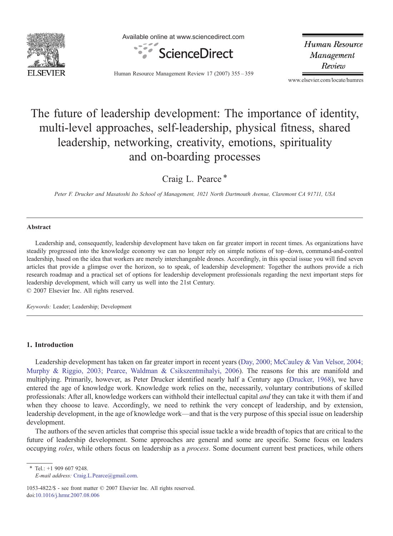

Available online at www.sciencedirect.com



Human Resource Management Review

Human Resource Management Review 17 (2007) 355–359

www.elsevier.com/locate/humres

# The future of leadership development: The importance of identity, multi-level approaches, self-leadership, physical fitness, shared leadership, networking, creativity, emotions, spirituality and on-boarding processes

Craig L. Pearce<sup>\*</sup>

Peter F. Drucker and Masatoshi Ito School of Management, 1021 North Dartmouth Avenue, Claremont CA 91711, USA

#### Abstract

Leadership and, consequently, leadership development have taken on far greater import in recent times. As organizations have steadily progressed into the knowledge economy we can no longer rely on simple notions of top–down, command-and-control leadership, based on the idea that workers are merely interchangeable drones. Accordingly, in this special issue you will find seven articles that provide a glimpse over the horizon, so to speak, of leadership development: Together the authors provide a rich research roadmap and a practical set of options for leadership development professionals regarding the next important steps for leadership development, which will carry us well into the 21st Century. © 2007 Elsevier Inc. All rights reserved.

Keywords: Leader; Leadership; Development

#### 1. Introduction

Leadership development has taken on far greater import in recent years ([Day, 2000; McCauley & Van Velsor, 2004;](#page--1-0) [Murphy & Riggio, 2003; Pearce, Waldman & Csikszentmihalyi, 2006\)](#page--1-0). The reasons for this are manifold and multiplying. Primarily, however, as Peter Drucker identified nearly half a Century ago ([Drucker, 1968](#page--1-0)), we have entered the age of knowledge work. Knowledge work relies on the, necessarily, voluntary contributions of skilled professionals: After all, knowledge workers can withhold their intellectual capital and they can take it with them if and when they choose to leave. Accordingly, we need to rethink the very concept of leadership, and by extension, leadership development, in the age of knowledge work—and that is the very purpose of this special issue on leadership development.

The authors of the seven articles that comprise this special issue tackle a wide breadth of topics that are critical to the future of leadership development. Some approaches are general and some are specific. Some focus on leaders occupying roles, while others focus on leadership as a process. Some document current best practices, while others

⁎ Tel.: +1 909 607 9248. E-mail address: [Craig.L.Pearce@gmail.com.](mailto:Craig.L.Pearce@gmail.com)

<sup>1053-4822/\$ -</sup> see front matter © 2007 Elsevier Inc. All rights reserved. doi[:10.1016/j.hrmr.2007.08.006](http://dx.doi.org/10.1016/j.hrmr.2007.08.006)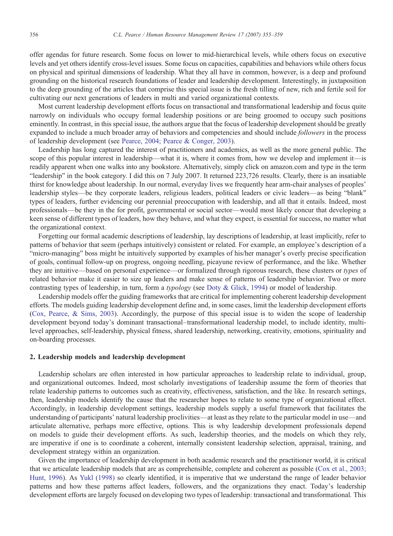offer agendas for future research. Some focus on lower to mid-hierarchical levels, while others focus on executive levels and yet others identify cross-level issues. Some focus on capacities, capabilities and behaviors while others focus on physical and spiritual dimensions of leadership. What they all have in common, however, is a deep and profound grounding on the historical research foundations of leader and leadership development. Interestingly, in juxtaposition to the deep grounding of the articles that comprise this special issue is the fresh tilling of new, rich and fertile soil for cultivating our next generations of leaders in multi and varied organizational contexts.

Most current leadership development efforts focus on transactional and transformational leadership and focus quite narrowly on individuals who occupy formal leadership positions or are being groomed to occupy such positions eminently. In contrast, in this special issue, the authors argue that the focus of leadership development should be greatly expanded to include a much broader array of behaviors and competencies and should include *followers* in the process of leadership development (see [Pearce, 2004; Pearce & Conger, 2003](#page--1-0)).

Leadership has long captured the interest of practitioners and academics, as well as the more general public. The scope of this popular interest in leadership—what it is, where it comes from, how we develop and implement it—is readily apparent when one walks into any bookstore. Alternatively, simply click on amazon.com and type in the term "leadership" in the book category. I did this on 7 July 2007. It returned 223,726 results. Clearly, there is an insatiable thirst for knowledge about leadership. In our normal, everyday lives we frequently hear arm-chair analyses of peoples' leadership styles—be they corporate leaders, religious leaders, political leaders or civic leaders—as being "blank" types of leaders, further evidencing our perennial preoccupation with leadership, and all that it entails. Indeed, most professionals—be they in the for profit, governmental or social sector—would most likely concur that developing a keen sense of different types of leaders, how they behave, and what they expect, is essential for success, no matter what the organizational context.

Forgetting our formal academic descriptions of leadership, lay descriptions of leadership, at least implicitly, refer to patterns of behavior that seem (perhaps intuitively) consistent or related. For example, an employee's description of a "micro-managing" boss might be intuitively supported by examples of his/her manager's overly precise specification of goals, continual follow-up on progress, ongoing needling, picayune review of performance, and the like. Whether they are intuitive—based on personal experience—or formalized through rigorous research, these clusters or types of related behavior make it easier to size up leaders and make sense of patterns of leadership behavior. Two or more contrasting types of leadership, in turn, form a typology (see [Doty & Glick, 1994](#page--1-0)) or model of leadership.

Leadership models offer the guiding frameworks that are critical for implementing coherent leadership development efforts. The models guiding leadership development define and, in some cases, limit the leadership development efforts [\(Cox, Pearce, & Sims, 2003](#page--1-0)). Accordingly, the purpose of this special issue is to widen the scope of leadership development beyond today's dominant transactional–transformational leadership model, to include identity, multilevel approaches, self-leadership, physical fitness, shared leadership, networking, creativity, emotions, spirituality and on-boarding processes.

### 2. Leadership models and leadership development

Leadership scholars are often interested in how particular approaches to leadership relate to individual, group, and organizational outcomes. Indeed, most scholarly investigations of leadership assume the form of theories that relate leadership patterns to outcomes such as creativity, effectiveness, satisfaction, and the like. In research settings, then, leadership models identify the cause that the researcher hopes to relate to some type of organizational effect. Accordingly, in leadership development settings, leadership models supply a useful framework that facilitates the understanding of participants' natural leadership proclivities—at least as they relate to the particular model in use—and articulate alternative, perhaps more effective, options. This is why leadership development professionals depend on models to guide their development efforts. As such, leadership theories, and the models on which they rely, are imperative if one is to coordinate a coherent, internally consistent leadership selection, appraisal, training, and development strategy within an organization.

Given the importance of leadership development in both academic research and the practitioner world, it is critical that we articulate leadership models that are as comprehensible, complete and coherent as possible ([Cox et al., 2003;](#page--1-0) [Hunt, 1996\)](#page--1-0). As [Yukl \(1998\)](#page--1-0) so clearly identified, it is imperative that we understand the range of leader behavior patterns and how these patterns affect leaders, followers, and the organizations they enact. Today's leadership development efforts are largely focused on developing two types of leadership: transactional and transformational. This